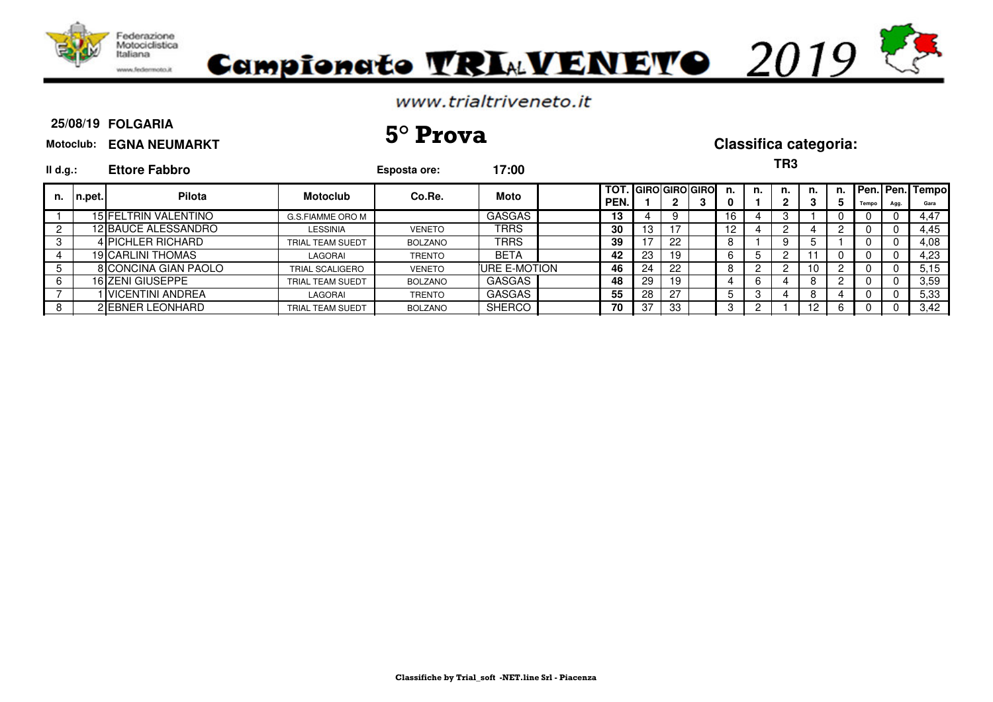



#### **25/08/19 FOLGARIA**

# **25/08/19 5° Prova Classifica categoria:**

| Motoclub: EGNA NEUMARKT |  |  |
|-------------------------|--|--|
|                         |  |  |

| $II$ d.g.: |        | <b>Ettore Fabbro</b> |                         | Esposta ore:   | 17:00         |              |      |    |                          |                 |    | TR3 |    |         |       |      |                         |
|------------|--------|----------------------|-------------------------|----------------|---------------|--------------|------|----|--------------------------|-----------------|----|-----|----|---------|-------|------|-------------------------|
| n.         | n.pet. | Pilota               | <b>Motoclub</b>         | Co.Re.         | Moto          | TOT.<br>PEN. |      | 2  | . IGIROIGIROIGIROI<br>ر. | n.<br>0.        | n. | n.  | n. | n.<br>5 | Tempo | Agg. | Pen. Pen. Tempo<br>Gara |
|            |        | 15 FELTRIN VALENTINO | G.S.FIAMME ORO M        |                | GASGAS        | 13           |      | 9  |                          | 16              |    |     |    |         |       |      | 4.47                    |
|            |        | 12 BAUCE ALESSANDRO  | <b>LESSINIA</b>         | <b>VENETO</b>  | TRRS          | 30           | 13.  |    |                          | 12 <sup>2</sup> |    |     |    |         |       |      | 4,45                    |
| -3         |        | 4 IPICHLER RICHARD   | <b>TRIAL TEAM SUEDT</b> | <b>BOLZANO</b> | TRRS          | 39           | $-1$ | 22 |                          |                 |    |     |    |         |       |      | 4,08                    |
|            |        | 19 CARLINI THOMAS    | LAGORAI                 | <b>TRENTO</b>  | <b>BETA</b>   | 42           | 23   | 19 |                          | 6.              |    |     |    |         |       |      | 4,23                    |
| 5          |        | 8 CONCINA GIAN PAOLO | <b>TRIAL SCALIGERO</b>  | <b>VENETO</b>  | IURE E-MOTION | 46           | 24   | 22 |                          | 8               |    |     | 10 |         |       |      | 5,15                    |
| 6          |        | 16 ZENI GIUSEPPE     | <b>TRIAL TEAM SUEDT</b> | <b>BOLZANO</b> | GASGAS        | 48           | 29   | 19 |                          |                 |    |     |    |         |       |      | 3,59                    |
|            |        | I VICENTINI ANDREA   | LAGORAI                 | <b>TRENTO</b>  | GASGAS        | 55           | 28   | 27 |                          |                 |    |     |    |         |       |      | 5,33                    |
| 8          |        | 2 JEBNER LEONHARD    | <b>TRIAL TEAM SUEDT</b> | <b>BOLZANO</b> | <b>SHERCO</b> | 70           | 37   | 33 |                          |                 |    |     |    |         |       |      | 3,42                    |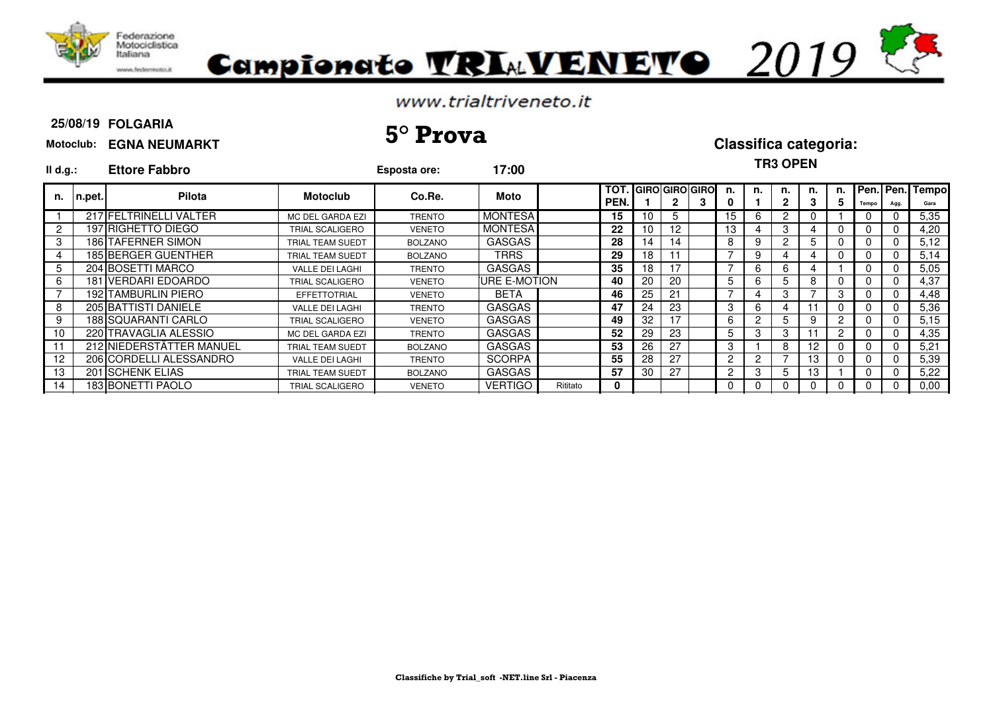

# Campionato VRIAVENEVO 2019

### www.trialtriveneto.it

#### **25/08/19 FOLGARIA**

#### **Motoclub: EGNA NEUMARKT**

## **TR3 OPEN**

| II d.g.: | <b>Ettore Fabbro</b> |                                                                                                                                                                                                                                                                                                                                                           | Esposta ore:   | 17:00          |          |                                        |    |    |   |                       |                       | I NJ UFEN |                   |          |          |          |                                   |
|----------|----------------------|-----------------------------------------------------------------------------------------------------------------------------------------------------------------------------------------------------------------------------------------------------------------------------------------------------------------------------------------------------------|----------------|----------------|----------|----------------------------------------|----|----|---|-----------------------|-----------------------|-----------|-------------------|----------|----------|----------|-----------------------------------|
| n.pet.   | <b>Pilota</b>        | <b>Motoclub</b>                                                                                                                                                                                                                                                                                                                                           | Co.Re.         | Moto           |          | TOT.<br>PEN.                           |    |    | 3 | n.<br>0               | n.                    | n.        | n.                | n.       |          | Agg.     | Gara                              |
|          |                      | MC DEL GARDA EZI                                                                                                                                                                                                                                                                                                                                          | <b>TRENTO</b>  | <b>MONTESA</b> |          | 15                                     | 10 |    |   | 15                    | 6                     | 2         |                   |          |          |          | 5,35                              |
|          |                      | TRIAL SCALIGERO                                                                                                                                                                                                                                                                                                                                           | <b>VENETO</b>  |                |          | 22                                     | 10 | 12 |   | 13                    | 4                     | 3         |                   | 0        |          |          | 4,20                              |
|          |                      | TRIAL TEAM SUEDT                                                                                                                                                                                                                                                                                                                                          | <b>BOLZANO</b> | <b>GASGAS</b>  |          | 28                                     | 14 | 14 |   | 8                     | 9                     |           | b.                |          |          |          | 5,12                              |
|          |                      | TRIAL TEAM SUEDT                                                                                                                                                                                                                                                                                                                                          | <b>BOLZANO</b> | <b>TRRS</b>    |          | 29                                     | 18 |    |   |                       | 9                     |           |                   | 0        |          |          | 5,14                              |
|          |                      | <b>VALLE DEI LAGHI</b>                                                                                                                                                                                                                                                                                                                                    | <b>TRENTO</b>  | <b>GASGAS</b>  |          | 35                                     | 18 |    |   |                       | 6                     | 6         |                   |          | $\Omega$ |          | 5,05                              |
|          |                      | TRIAL SCALIGERO                                                                                                                                                                                                                                                                                                                                           | <b>VENETO</b>  |                |          | 40                                     | 20 | 20 |   | 5                     | 6                     | 5         | 8                 | $\Omega$ |          |          | 4.37                              |
|          |                      | <b>EFFETTOTRIAL</b>                                                                                                                                                                                                                                                                                                                                       | <b>VENETO</b>  | <b>BETA</b>    |          | 46                                     | 25 | 21 |   |                       |                       | 3         |                   | 3        | 0        | $\Omega$ | 4,48                              |
|          |                      | <b>VALLE DEI LAGHI</b>                                                                                                                                                                                                                                                                                                                                    | <b>TRENTO</b>  | <b>GASGAS</b>  |          | 47                                     | 24 | 23 |   | 3                     | 6                     | 4         | 11                | 0        |          |          | 5,36                              |
|          |                      | <b>TRIAL SCALIGERO</b>                                                                                                                                                                                                                                                                                                                                    | <b>VENETO</b>  | <b>GASGAS</b>  |          | 49                                     | 32 |    |   | 6                     | 2                     | 5         | 9                 | 2        |          |          | 5,15                              |
|          |                      | MC DEL GARDA EZI                                                                                                                                                                                                                                                                                                                                          | <b>TRENTO</b>  | <b>GASGAS</b>  |          | 52                                     | 29 | 23 |   | 5.                    |                       | 3         |                   |          |          |          | 4,35                              |
|          |                      | TRIAL TEAM SUEDT                                                                                                                                                                                                                                                                                                                                          | <b>BOLZANO</b> | <b>GASGAS</b>  |          | 53                                     | 26 | 27 |   | 3                     |                       | 8         | $12 \overline{ }$ | 0        |          |          | 5,21                              |
|          |                      | <b>VALLE DEI LAGHI</b>                                                                                                                                                                                                                                                                                                                                    | <b>TRENTO</b>  | <b>SCORPA</b>  |          | 55                                     | 28 | 27 |   | 2                     | 2                     |           | 13                | 0        |          |          | 5,39                              |
|          |                      | TRIAL TEAM SUEDT                                                                                                                                                                                                                                                                                                                                          | <b>BOLZANO</b> | <b>GASGAS</b>  |          | 57                                     | 30 | 27 |   | $\mathbf{2}^{\prime}$ | 3                     | 5         | 13                |          | 0        |          | 5,22                              |
|          |                      | <b>TRIAL SCALIGERO</b>                                                                                                                                                                                                                                                                                                                                    | <b>VENETO</b>  | <b>VERTIGO</b> | Rititato | 0                                      |    |    |   | 0                     | 0                     |           | 0                 | 0        | 0        |          | 0.00                              |
|          |                      | 217 FELTRINELLI VALTER<br>197 RIGHETTO DIEGO<br><b>186 TAFERNER SIMON</b><br><b>185 BERGER GUENTHER</b><br>204 BOSETTI MARCO<br>181 VERDARI EDOARDO<br><b>192 TAMBURLIN PIERO</b><br>205 BATTISTI DANIELE<br>188 SQUARANTI CARLO<br>220 TRAVAGLIA ALESSIO<br>212 NIEDERSTÄTTER MANUEL<br>206 CORDELLI ALESSANDRO<br>201 SCHENK ELIAS<br>183 BONETTI PAOLO |                |                |          | <b>MONTESA</b><br><b>IURE E-MOTION</b> |    |    |   |                       | <b>GIRO GIRO GIRO</b> |           |                   |          |          |          | <b>TPen. Pen. Tempol</b><br>Tempo |

**25/08/19 5° Prova Classifica categoria:**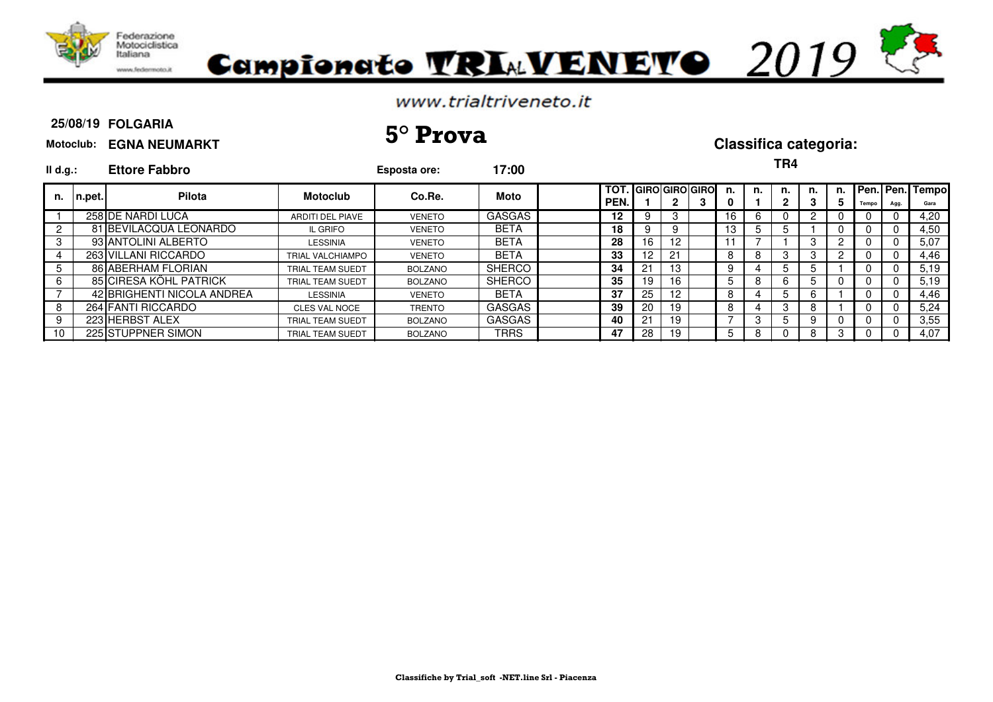



#### **25/08/19 FOLGARIA**

# **Motoclub: EGNA NEUMARKT 25/08/19 5° Prova Classifica categoria:**

| MOtOCIUD: EGNA NEUMARK |  |
|------------------------|--|
|                        |  |

| II d.g.: |        | <b>Ettore Fabbro</b>       |                         | Esposta ore:   | 17:00         |              |                 |                   |                         |         |    | TR4 |         |          |       |     |                         |
|----------|--------|----------------------------|-------------------------|----------------|---------------|--------------|-----------------|-------------------|-------------------------|---------|----|-----|---------|----------|-------|-----|-------------------------|
| n.       | n.pet. | Pilota                     | <b>Motoclub</b>         | Co.Re.         | Moto          | TOT.<br>PEN. |                 | 2                 | . IGIROIGIROIGIROI<br>з | n.<br>0 | n. | n.  | n.<br>3 | n.<br>5. | Tempo | Agg | Pen. Pen. Tempo<br>Gara |
|          |        | 258 DE NARDI LUCA          | ARDITI DEL PIAVE        | <b>VENETO</b>  | <b>GASGAS</b> | 12           | 9               | З                 |                         | 16      |    |     |         |          |       |     | 4,20                    |
|          |        | 81 BEVILACQUA LEONARDO     | IL GRIFO                | <b>VENETO</b>  | <b>BETA</b>   | 18           | 9               | 9                 |                         | 13      | ۰. |     |         |          | U     |     | 4,50                    |
| 3        |        | 93 ANTOLINI ALBERTO        | <b>LESSINIA</b>         | <b>VENETO</b>  | <b>BETA</b>   | 28           | 16              | $12 \overline{ }$ |                         |         |    |     | З       |          |       |     | 5,07                    |
| 4        |        | 263 VILLANI RICCARDO       | <b>TRIAL VALCHIAMPO</b> | <b>VENETO</b>  | <b>BETA</b>   | 33           | 12 <sup>2</sup> | 21                |                         | 8       | 8  | Э   | 3       |          | U     |     | 4.46                    |
| 5        |        | 86 ABERHAM FLORIAN         | TRIAL TEAM SUEDT        | BOLZANO        | <b>SHERCO</b> | 34           | 21              | 13                |                         | 9       |    | . 5 |         |          | 0     |     | 5,19                    |
| 6        |        | 85 CIRESA KÖHL PATRICK     | TRIAL TEAM SUEDT        | BOLZANO        | SHERCO        | 35           | 19              | 16                |                         | 5       | 8  |     |         |          | U     |     | 5,19                    |
|          |        | 42 BRIGHENTI NICOLA ANDREA | <b>LESSINIA</b>         | <b>VENETO</b>  | <b>BETA</b>   | 37           | 25              | 12                |                         | 8       | 4  |     | h       |          | 0     |     | 4.46                    |
| 8        |        | 264 FANTI RICCARDO         | <b>CLES VAL NOCE</b>    | <b>TRENTO</b>  | <b>GASGAS</b> | 39           | 20              | 19                |                         | 8       | 4  | 3   |         |          | 0     |     | 5,24                    |
| 9        |        | 223 HERBST ALEX            | <b>TRIAL TEAM SUEDT</b> | BOLZANO        | <b>GASGAS</b> | 40           | 21              | 19                |                         |         |    |     |         |          | O     |     | 3,55                    |
| 10       |        | 225 STUPPNER SIMON         | TRIAL TEAM SUEDT        | <b>BOLZANO</b> | TRRS          | 47           | 28              | 19                |                         | 5       | 8  |     |         |          | U     |     | 4.07                    |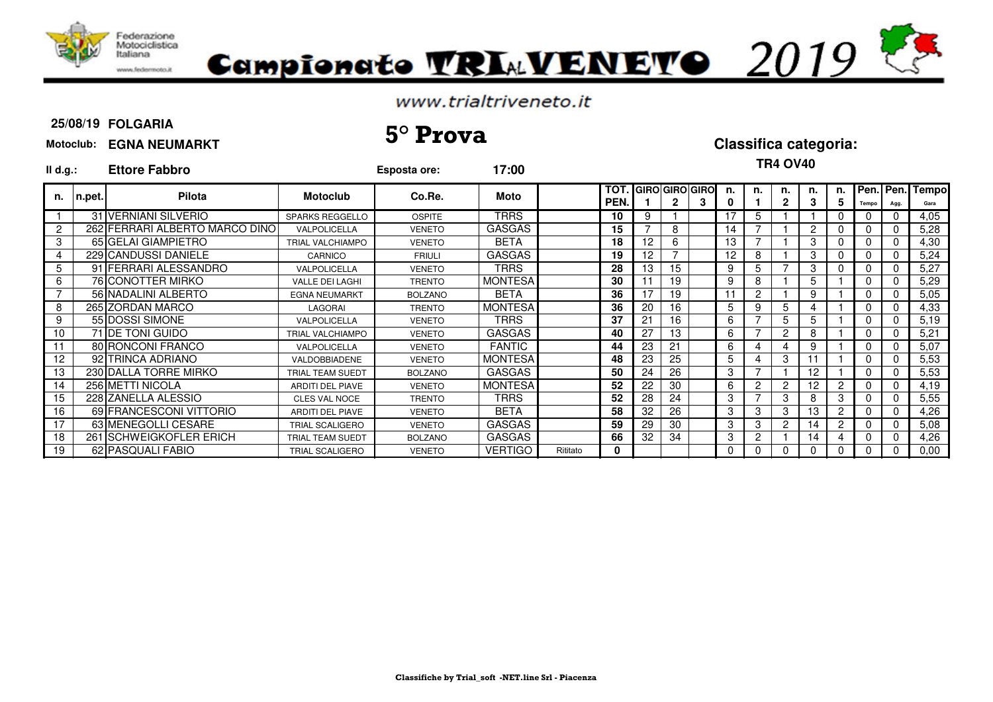

# Campionato TRIAVENETO 2019

### www.trialtriveneto.it

### **25/08/19 FOLGARIA**

# **25/08/19 5° Prova Classifica categoria:**

| II d.g.:        |           | <b>Ettore Fabbro</b>            |                         | Esposta ore:   | 17:00          |          |                    |                 |    |                            |         |    | <b>TR4 OV40</b>    |         |                |       |          |                         |
|-----------------|-----------|---------------------------------|-------------------------|----------------|----------------|----------|--------------------|-----------------|----|----------------------------|---------|----|--------------------|---------|----------------|-------|----------|-------------------------|
|                 | n. n.pet. | <b>Pilota</b>                   | <b>Motoclub</b>         | Co.Re.         | Moto           |          | <b>TOT</b><br>PEN. |                 | 2  | <b>GIRO GIRO GIRO</b><br>3 | n.<br>0 | n. | n.<br>$\mathbf{2}$ | n.<br>3 | n.<br>5.       | Tempo | Agg.     | Pen. Pen. Tempo<br>Gara |
|                 |           | 31 VERNIANI SILVERIO            | <b>SPARKS REGGELLO</b>  | <b>OSPITE</b>  | <b>TRRS</b>    |          | 10                 | 9               |    |                            | 17      | 5  |                    |         | 0              | 0     | $\Omega$ | 4,05                    |
| $\overline{2}$  |           | 262 FERRARI ALBERTO MARCO DINOI | VALPOLICELLA            | <b>VENETO</b>  | <b>GASGAS</b>  |          | 15                 |                 | 8  |                            | 14      |    |                    | 2       | 0              | 0     | n        | 5,28                    |
| 3               |           | 65 GELAI GIAMPIETRO             | <b>TRIAL VALCHIAMPO</b> | <b>VENETO</b>  | <b>BETA</b>    |          | 18                 | 12 <sup>2</sup> | 6  |                            | 13      |    |                    | 3       | 0              | 0     | $\Omega$ | 4,30                    |
| $\overline{4}$  |           | 229 CANDUSSI DANIELE            | CARNICO                 | <b>FRIULI</b>  | GASGAS         |          | 19                 | 12              |    |                            | 12      | 8  |                    | 3       | 0              | 0     | n        | 5,24                    |
| 5               |           | 91 FERRARI ALESSANDRO           | VALPOLICELLA            | <b>VENETO</b>  | TRRS           |          | 28                 | 13              | 15 |                            | 9       | 5  |                    | 3       | 0              | 0     | $\Omega$ | 5,27                    |
| 6               |           | 76 CONOTTER MIRKO               | <b>VALLE DEI LAGHI</b>  | <b>TRENTO</b>  | <b>MONTESA</b> |          | 30                 |                 | 19 |                            | 9       | 8  |                    | 5       |                | 0     | $\Omega$ | 5,29                    |
|                 |           | 56 NADALINI ALBERTO             | <b>EGNA NEUMARKT</b>    | <b>BOLZANO</b> | BETA           |          | 36                 | 17              | 19 |                            | 11      | 2  |                    | 9       |                | 0     | $\Omega$ | 5,05                    |
| 8               |           | 265 ZORDAN MARCO                | LAGORAI                 | <b>TRENTO</b>  | <b>MONTESA</b> |          | 36                 | 20              | 16 |                            | 5.      | 9  | 5                  |         |                | 0     | $\Omega$ | 4,33                    |
| 9               |           | 55 DOSSI SIMONE                 | VALPOLICELLA            | <b>VENETO</b>  | <b>TRRS</b>    |          | 37                 | 21              | 16 |                            | 6       |    | 5                  | 5       |                | 0     | n        | 5,19                    |
| 10 <sup>°</sup> |           | 71 DE TONI GUIDO                | <b>TRIAL VALCHIAMPO</b> | <b>VENETO</b>  | <b>GASGAS</b>  |          | 40                 | 27              | 13 |                            | 6       |    | 2                  | 8       |                | 0     | $\Omega$ | 5,21                    |
| 11              |           | 80 RONCONI FRANCO               | VALPOLICELLA            | <b>VENETO</b>  | <b>FANTIC</b>  |          | 44                 | 23              | 21 |                            | 6       | 4  |                    | 9       |                | 0     | $\Omega$ | 5,07                    |
| 12              |           | 92 TRINCA ADRIANO               | <b>VALDOBBIADENE</b>    | <b>VENETO</b>  | <b>MONTESA</b> |          | 48                 | 23              | 25 |                            | 5.      | 4  | 3                  |         |                | 0     | $\Omega$ | 5,53                    |
| 13              |           | 230 DALLA TORRE MIRKO           | <b>TRIAL TEAM SUEDT</b> | <b>BOLZANO</b> | <b>GASGAS</b>  |          | 50                 | 24              | 26 |                            | 3       |    |                    | 12      |                | 0     |          | 5,53                    |
| 14              |           | 256 METTI NICOLA                | <b>ARDITI DEL PIAVE</b> | <b>VENETO</b>  | <b>MONTESA</b> |          | 52                 | 22              | 30 |                            | 6.      | 2  | $\overline{2}$     | 12      | 2              | 0     | $\Omega$ | 4,19                    |
| 15              |           | 228 ZANELLA ALESSIO             | <b>CLES VAL NOCE</b>    | <b>TRENTO</b>  | <b>TRRS</b>    |          | 52                 | 28              | 24 |                            | 3       |    | 3                  | 8       | 3              | 0     | $\Omega$ | 5,55                    |
| 16              |           | 69 FRANCESCONI VITTORIO         | <b>ARDITI DEL PIAVE</b> | <b>VENETO</b>  | <b>BETA</b>    |          | 58                 | 32              | 26 |                            | 3       | 3  | 3                  | 13      | $\overline{2}$ | 0     | $\Omega$ | 4,26                    |
| 17              |           | 63 MENEGOLLI CESARE             | <b>TRIAL SCALIGERO</b>  | <b>VENETO</b>  | <b>GASGAS</b>  |          | 59                 | 29              | 30 |                            | 3       | 3  | $\overline{2}$     | 14      | 2              | 0     | $\Omega$ | 5,08                    |
| 18              |           | 261 SCHWEIGKOFLER ERICH         | <b>TRIAL TEAM SUEDT</b> | <b>BOLZANO</b> | <b>GASGAS</b>  |          | 66                 | 32              | 34 |                            | 3       | 2  |                    | 14      |                | 0     |          | 4,26                    |
| 19              |           | 62 PASQUALI FABIO               | <b>TRIAL SCALIGERO</b>  | <b>VENETO</b>  | <b>VERTIGO</b> | Rititato | 0                  |                 |    |                            | 0       | 0  |                    | 0       | 0              | 0     |          | 0,00                    |

## **Motoclub: EGNA NEUMARKT**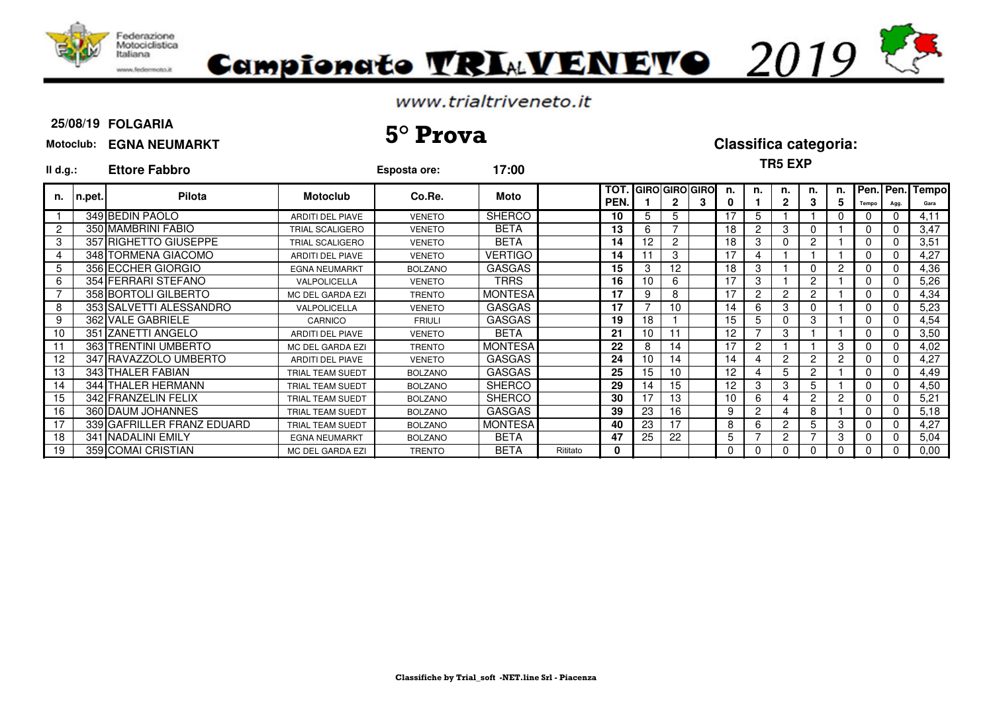

# Campionato TRIAVENETO 2019

### www.trialtriveneto.it

## **25/08/19 FOLGARIA**

# **25/08/19 5° Prova Classifica categoria:**

#### **Motoclub: EGNA NEUMARKT**

**TR5 EXP**

| II d.g.:       |        | <b>Ettore Fabbro</b>       |                         | <b>Esposta ore:</b> | 17:00          | 11 IV LAI |              |          |    |                         |    |    |          |                |    |          |                                |                |
|----------------|--------|----------------------------|-------------------------|---------------------|----------------|-----------|--------------|----------|----|-------------------------|----|----|----------|----------------|----|----------|--------------------------------|----------------|
| n.             | n.pet. | Pilota                     | <b>Motoclub</b>         | Co.Re.              | Moto           |           | TOT.<br>PEN. |          |    | <b>IGIROIGIROIGIROI</b> | n. | n. | n.       | n.             | n. | Tempo    | <b>I</b> Pen.   Pen.  <br>Agg. | Tempol<br>Gara |
|                |        | 349 BEDIN PAOLO            | <b>ARDITI DEL PIAVE</b> | <b>VENETO</b>       | <b>SHERCO</b>  |           | 10           | 5        | 5  |                         |    | 5. |          |                |    |          |                                | 4,11           |
| $\overline{2}$ |        | 350 MAMBRINI FABIO         | TRIAL SCALIGERO         | <b>VENETO</b>       | BETA           |           | 13           | 6.       |    |                         | 18 | 2  | 3        |                |    | 0        |                                | 3,47           |
| 3              |        | 357 RIGHETTO GIUSEPPE      | TRIAL SCALIGERO         | <b>VENETO</b>       | <b>BETA</b>    |           | 14           | 12       | 2  |                         | 18 | 3  |          | $\overline{2}$ |    | 0        |                                | 3,51           |
| 4              |        | 348 TORMENA GIACOMO        | <b>ARDITI DEL PIAVE</b> | <b>VENETO</b>       | <b>VERTIGO</b> |           | 14           |          | 3  |                         | 17 |    |          |                |    | $\Omega$ |                                | 4,27           |
| 5              |        | 356 ECCHER GIORGIO         | <b>EGNA NEUMARKT</b>    | <b>BOLZANO</b>      | <b>GASGAS</b>  |           | 15           | 3        | 12 |                         | 18 | 3  |          |                | 2  | 0        |                                | 4,36           |
| 6              |        | 354 FERRARI STEFANO        | VALPOLICELLA            | <b>VENETO</b>       | <b>TRRS</b>    |           | 16           | 10       | 6  |                         |    | 3  |          | 2              |    | 0        |                                | 5,26           |
|                |        | 358 BORTOLI GILBERTO       | MC DEL GARDA EZI        | <b>TRENTO</b>       | <b>MONTESA</b> |           | 17           | 9        | 8  |                         | 17 | 2  | 2        | 2              |    | 0        |                                | 4,34           |
| 8              |        | 353 SALVETTI ALESSANDRO    | VALPOLICELLA            | <b>VENETO</b>       | <b>GASGAS</b>  |           | 17           |          | 10 |                         | 14 | 6  | 3        |                |    | 0        |                                | 5,23           |
| 9              |        | 362 VALE GABRIELE          | CARNICO                 | <b>FRIULI</b>       | <b>GASGAS</b>  |           | 19           | 18       |    |                         | 15 | 5  | $\Omega$ | 3              |    | 0        |                                | 4,54           |
| 10             |        | 351 ZANETTI ANGELO         | ARDITI DEL PIAVE        | <b>VENETO</b>       | <b>BETA</b>    |           | 21           | 10       |    |                         | 12 |    | 3        |                |    |          |                                | 3,50           |
|                |        | 363 TRENTINI UMBERTO       | MC DEL GARDA EZI        | <b>TRENTO</b>       | <b>MONTESA</b> |           | 22           |          | 14 |                         | 17 | 2  |          |                |    |          |                                | 4,02           |
| 12             |        | 347 RAVAZZOLO UMBERTO      | <b>ARDITI DEL PIAVE</b> | <b>VENETO</b>       | <b>GASGAS</b>  |           | 24           | 10       | 14 |                         | 14 |    | 2        | 2              | 2  | 0        |                                | 4,27           |
| 13             |        | 343 THALER FABIAN          | TRIAL TEAM SUEDT        | <b>BOLZANO</b>      | <b>GASGAS</b>  |           | 25           | 15       | 10 |                         | 12 |    | 5.       | 2              |    | $\Omega$ |                                | 4,49           |
| 14             |        | 344 THALER HERMANN         | <b>TRIAL TEAM SUEDT</b> | <b>BOLZANO</b>      | <b>SHERCO</b>  |           | 29           | <b>4</b> | 15 |                         | 12 | 3  | 3        | 5              |    | 0        |                                | 4,50           |
| 15             |        | 342 FRANZELIN FELIX        | TRIAL TEAM SUEDT        | <b>BOLZANO</b>      | <b>SHERCO</b>  |           | 30           | 7        | 13 |                         | 10 | 6  |          | 2              | 2  | 0        |                                | 5,21           |
| 16             |        | 360 DAUM JOHANNES          | TRIAL TEAM SUEDT        | <b>BOLZANO</b>      | <b>GASGAS</b>  |           | 39           | 23       | 16 |                         | 9  | 2  | 4        | 8              |    | $\Omega$ |                                | 5,18           |
| 17             |        | 339 GAFRILLER FRANZ EDUARD | TRIAL TEAM SUEDT        | <b>BOLZANO</b>      | <b>MONTESA</b> |           | 40           | 23       | 17 |                         | 8  | 6  | 2        | 5              | 3  | 0        |                                | 4,27           |
| 18             |        | 341 NADALINI EMILY         | <b>EGNA NEUMARKT</b>    | <b>BOLZANO</b>      | BETA           |           | 47           | 25       | 22 |                         | 5  |    | 2        |                | 3  | 0        |                                | 5,04           |
| 19             |        | 359 COMAI CRISTIAN         | MC DEL GARDA EZI        | <b>TRENTO</b>       | BETA           | Rititato  | 0            |          |    |                         |    |    | 0        |                |    | 0        |                                | 0,00           |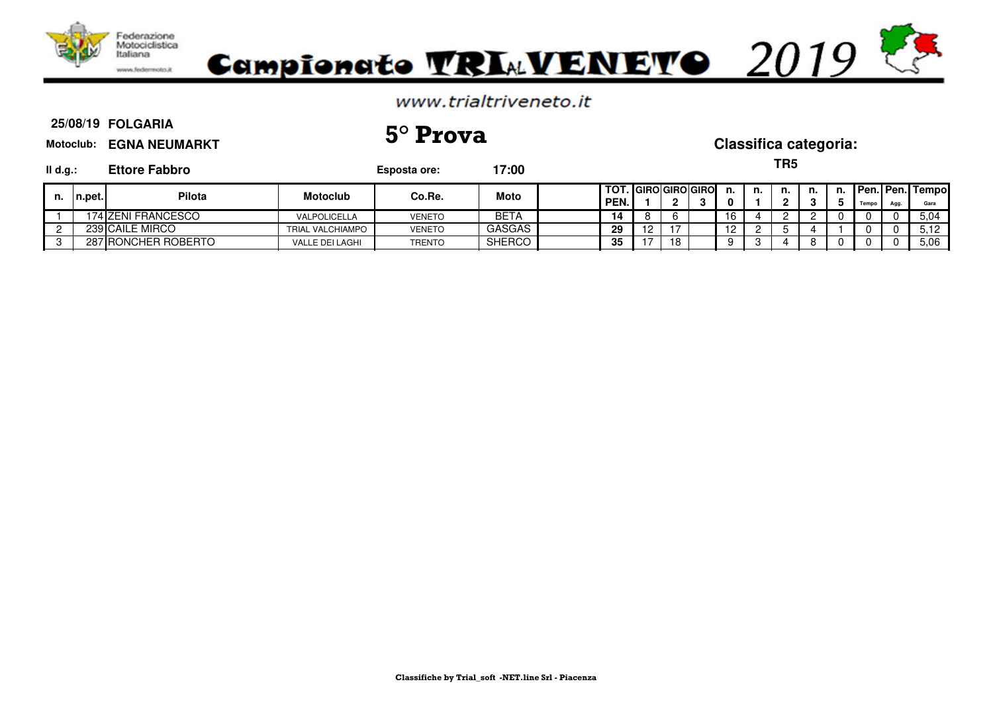

#### **25/08/19 FOLGARIA Motoclub: EGNA NEUMARKT Il d.g.: Ettore Fabbro Esposta ore: 17:00 TOT. GIRO GIRO GIRO n. n. n. n. n. Pen. Pen. Tempo PEN.** | 1 | 2 | 3 | 0 | 1 | 2 | 3 | 5 | Tempo | Agg. | Gara 1 174 ZENI FRANCESCO VALPOLICELLA VENETO BETA **14** 8 6 16 4 2 2 0 0 0 5,04 2 239 CAILE MIRCO TRIAL VALCHIAMPO VENETO GASGAS **29** 12 17 12 2 5 4 1 0 0 5,12 3 287 RONCHER ROBERTO VALLE DEI LAGHI TRENTO SHERCO **35** 17 18 9 3 4 8 0 0 0 5,06 **TR5 n. n.pet. Pilota Motoclub Co.Re. Moto 25/08/19 5° Prova Classifica categoria:**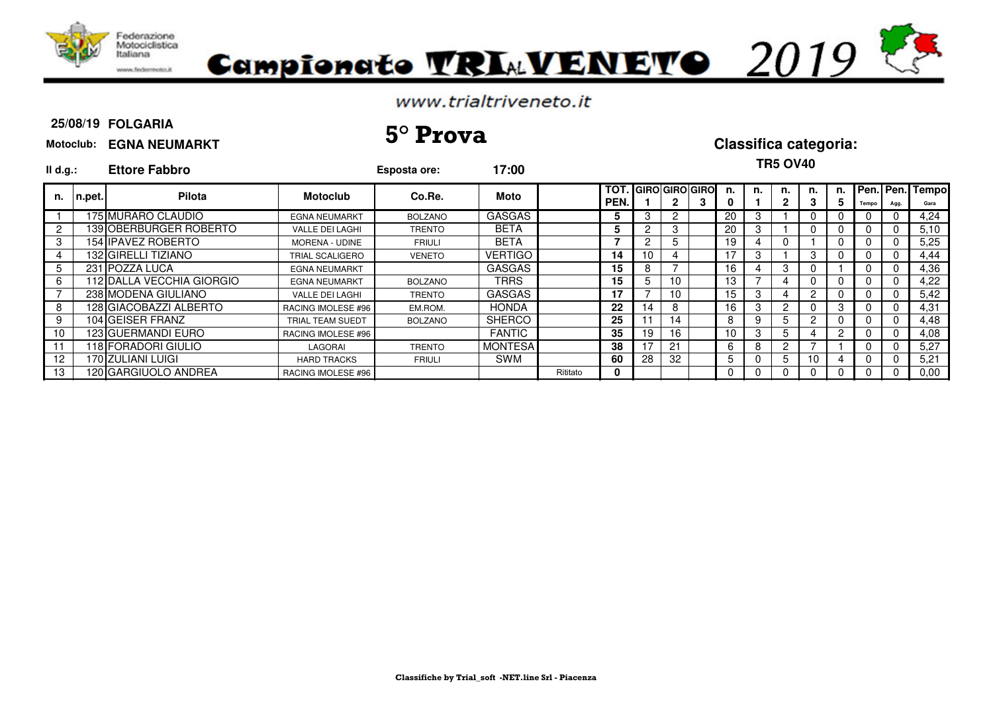

# Campionato VRIAVENEVO 2019

### www.trialtriveneto.it

#### **25/08/19 FOLGARIA**

# **25/08/19 5° Prova Classifica categoria:**

#### **Motoclub: EGNA NEUMARKT**

| II d.g.:       |        | <b>Ettore Fabbro</b>      |                        | Esposta ore:   | 17:00          |          |                    |                       |                |         |    | <b>TR5 OV40</b> |    |    |       |              |                         |
|----------------|--------|---------------------------|------------------------|----------------|----------------|----------|--------------------|-----------------------|----------------|---------|----|-----------------|----|----|-------|--------------|-------------------------|
| n.             | n.pet. | Pilota                    | <b>Motoclub</b>        | Co.Re.         | Moto           |          | <b>TOT</b><br>PEN. | <b>GIRO GIRO GIRO</b> |                | n.<br>0 | n. | n.              | 3  | n. | Tempo | Agg.         | Pen. Pen. Tempo<br>Gara |
|                |        | 175 MURARO CLAUDIO        | <b>EGNA NEUMARKT</b>   | <b>BOLZANO</b> | <b>GASGAS</b>  |          | 5                  |                       | $\overline{2}$ | 20      | 3  |                 |    |    |       | $\Omega$     | 4,24                    |
| $\overline{c}$ |        | 139 IOBERBURGER ROBERTO   | <b>VALLE DEI LAGHI</b> | <b>TRENTO</b>  | <b>BETA</b>    |          |                    | $\sim$                | 3              | 20      | 3  |                 |    |    |       | $\mathbf{0}$ | 5,10                    |
| 3              |        | 154 IPAVEZ ROBERTO        | <b>MORENA - UDINE</b>  | <b>FRIULI</b>  | <b>BETA</b>    |          |                    |                       | b.             | 19      |    | 0               |    |    |       | $\mathbf{0}$ | 5,25                    |
| 4              |        | 132 GIRELLI TIZIANO       | <b>TRIAL SCALIGERO</b> | <b>VENETO</b>  | <b>VERTIGO</b> |          | 14                 | 10                    |                |         |    |                 | 3  |    |       | $\mathbf{0}$ | 4,44                    |
| 5              |        | 231 POZZA LUCA            | <b>EGNA NEUMARKT</b>   |                | <b>GASGAS</b>  |          | 15                 |                       |                | 16      |    | 3               |    |    |       | $\mathbf 0$  | 4,36                    |
| 6              |        | 112 DALLA VECCHIA GIORGIO | <b>EGNA NEUMARKT</b>   | <b>BOLZANO</b> | TRRS           |          | 15                 |                       | 10             | 13      |    | 4               | O  |    |       | $\mathbf{0}$ | 4,22                    |
|                |        | 238 MODENA GIULIANO       | <b>VALLE DEI LAGHI</b> | TRENTO         | <b>GASGAS</b>  |          | 17                 |                       | 10             | 15      | 3  | 4               | 2  |    |       | $\mathbf{0}$ | 5,42                    |
| 8              |        | 128 GIACOBAZZI ALBERTO    | RACING IMOLESE #96     | EM.ROM.        | <b>HONDA</b>   |          | 22                 | 14                    | 8              | 16      | 3  | 2               |    | 3  |       | $\Omega$     | 4,31                    |
| 9              |        | 104 GEISER FRANZ          | TRIAL TEAM SUEDT       | <b>BOLZANO</b> | <b>SHERCO</b>  |          | 25                 |                       | 14             | 8       | 9  | 5               | 2  |    |       | $\mathbf 0$  | 4,48                    |
| 10             |        | 123 GUERMANDI EURO        | RACING IMOLESE #96     |                | <b>FANTIC</b>  |          | 35                 | 19                    | 16             | 10      | 3  | 5               |    | 2  |       | $\mathbf{0}$ | 4,08                    |
| 11             |        | I 18 FORADORI GIULIO      | LAGORAI                | <b>TRENTO</b>  | <b>MONTESA</b> |          | 38                 | 7                     | 21             | 6       | 8  | 2               |    |    |       | $\mathbf 0$  | 5,27                    |
| 12             |        | 170 ZULIANI LUIGI         | <b>HARD TRACKS</b>     | <b>FRIULI</b>  | SWM            |          | 60                 | 28                    | 32             | 5       |    | 5               | 10 |    |       | $\mathbf 0$  | 5,21                    |
| 13             |        | 120 GARGIUOLO ANDREA      | RACING IMOLESE #96     |                |                | Rititato | 0                  |                       |                | U       |    | 0               | U  |    |       | $\Omega$     | 0,00                    |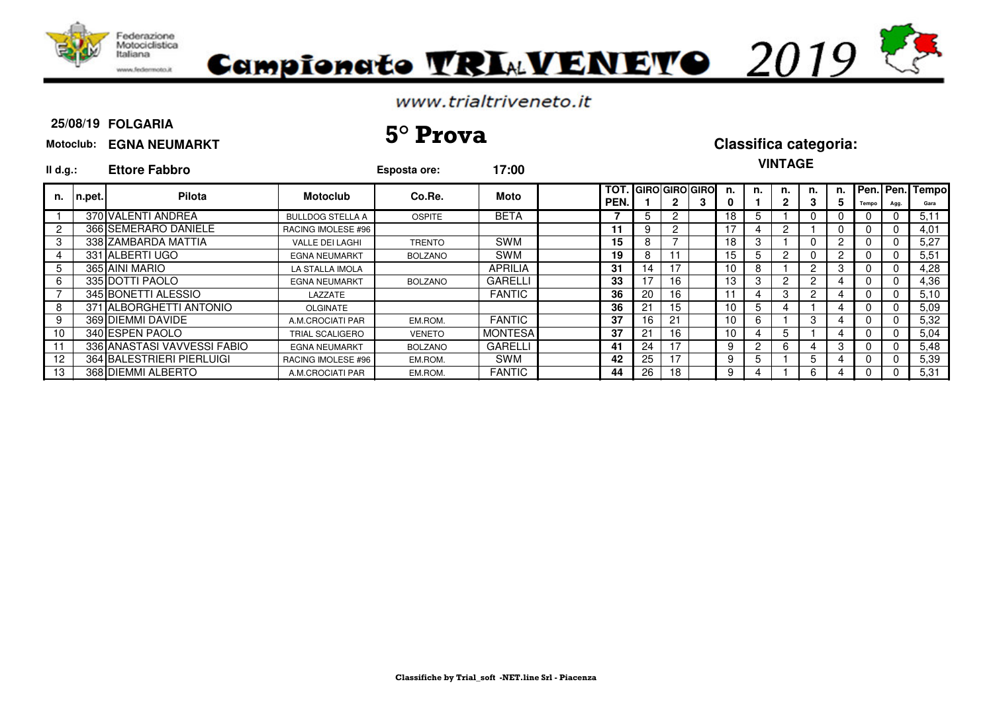

# Campionato **TRIAVENETO** 2019

### www.trialtriveneto.it

#### **25/08/19 FOLGARIA**

# **25/08/19 5° Prova Classifica categoria:**

#### **Motoclub: EGNA NEUMARKT**

## **VINTAGE**

| II d.g.: |         | <b>Ettore Fabbro</b>        |                         | Esposta ore:   | 17:00          |              |                           |    |                 |    | <b>VINIAJE</b> |    |    |              |      |                         |
|----------|---------|-----------------------------|-------------------------|----------------|----------------|--------------|---------------------------|----|-----------------|----|----------------|----|----|--------------|------|-------------------------|
| n.       | In.pet. | <b>Pilota</b>               | <b>Motoclub</b>         | Co.Re.         | Moto           | TOT.<br>PEN. | <b>I</b> GIROIGIROI GIROI |    | n.              | n. | n.             | n. | n. | Tempo        | Agg. | Pen. Pen. Tempo<br>Gara |
|          |         | 370 VALENTI ANDREA          | <b>BULLDOG STELLA A</b> | <b>OSPITE</b>  | <b>BETA</b>    |              | $5 -$                     |    | 18              | 5. |                |    |    |              |      | 5.11                    |
|          |         | 366 SEMERARO DANIELE        | RACING IMOLESE #96      |                |                | 11           | 9                         | 2  |                 | 4  |                |    |    |              |      | 4,01                    |
|          |         | 338 ZAMBARDA MATTIA         | VALLE DEI LAGHI         | TRENTO         | <b>SWM</b>     | 15           | 8                         |    | 18              | 3  |                |    |    |              |      | 5,27                    |
|          |         | 331 ALBERTI UGO             | <b>EGNA NEUMARKT</b>    | <b>BOLZANO</b> | <b>SWM</b>     | 19           | 8                         |    | 15              |    |                |    |    |              |      | 5,51                    |
| 5        |         | 365 AINI MARIO              | LA STALLA IMOLA         |                | <b>APRILIA</b> | 31           | 14                        | 17 | 10              | 8  |                |    |    |              |      | 4,28                    |
|          |         | 335 DOTTI PAOLO             | <b>EGNA NEUMARKT</b>    | <b>BOLZANO</b> | <b>GARELLI</b> | 33           | 17                        | 16 | 13              | 3  | 2              |    |    |              |      | 4,36                    |
|          |         | 345 BONETTI ALESSIO         | LAZZATE                 |                | <b>FANTIC</b>  | 36           | 20                        | 16 |                 | 4  | 3              |    |    |              |      | 5,10                    |
|          |         | 371 ALBORGHETTI ANTONIO     | <b>OLGINATE</b>         |                |                | 36           | 21                        | 15 | 10              | 5  |                |    |    |              |      | 5,09                    |
|          |         | 369 DIEMMI DAVIDE           | A.M.CROCIATI PAR        | EM.ROM.        | <b>FANTIC</b>  | 37           | 16                        | 21 | 10              | 6  |                | 3  |    | $\mathbf{U}$ | -0   | 5,32                    |
| 10       |         | 340 ESPEN PAOLO             | <b>TRIAL SCALIGERO</b>  | VENETO         | <b>MONTESA</b> | 37           | 21                        | 16 | 10 <sup>°</sup> |    | 5              |    |    |              |      | 5,04                    |
|          |         | 336 ANASTASI VAVVESSI FABIO | <b>EGNA NEUMARKT</b>    | <b>BOLZANO</b> | <b>GARELLI</b> | 41           | 24                        |    | 9               | 2  | 6              |    |    |              |      | 5,48                    |
| 12       |         | 364 BALESTRIERI PIERLUIGI   | RACING IMOLESE #96      | EM.ROM.        | <b>SWM</b>     | 42           | 25                        | 17 | 9               | 5  |                | 5  |    |              | -0   | 5,39                    |
| 13       |         | 368 DIEMMI ALBERTO          | A.M.CROCIATI PAR        | EM.ROM.        | <b>FANTIC</b>  | 44           | 26                        | 18 | 9.              | 4  |                | 6  |    |              |      | 5,31                    |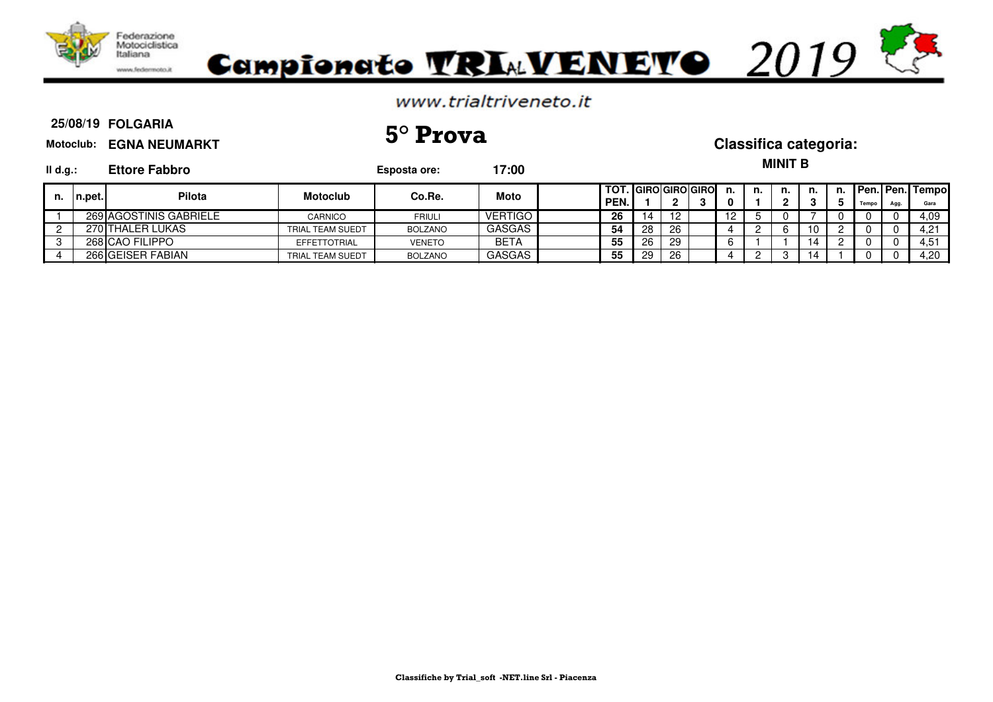

#### **25/08/19 FOLGARIA Motoclub: EGNA NEUMARKT Il d.g.: Ettore Fabbro Esposta ore: 17:00 TOT. GIRO GIRO GIRO n. n. n. n. n. Pen. Pen. Tempo PEN.** | 1 | 2 | 3 | 0 | 1 | 2 | 3 | 5 | Tempo | Agg. | Gara 1 269 AGOSTINIS GABRIELE CARNICO FRIULI VERTIGO **26** 14 12 12 5 0 7 0 0 0 4,09 2 270 THALER LUKAS TRIAL TEAM SUEDT BOLZANO GASGAS **54** 28 26 4 2 6 10 2 0 0 4,21 3 268 CAO FILIPPO EFFETTOTRIAL VENETO BETA **55** 26 29 6 1 1 14 2 0 0 4,51 4 266 GEISER FABIAN TRIAL TEAM SUEDT BOLZANO GASGAS **55** 29 26 4 2 3 14 1 0 0 4,20 **MINIT B n. n.pet. Pilota Motoclub Co.Re. Moto 25/08/19 5° Prova Classifica categoria:**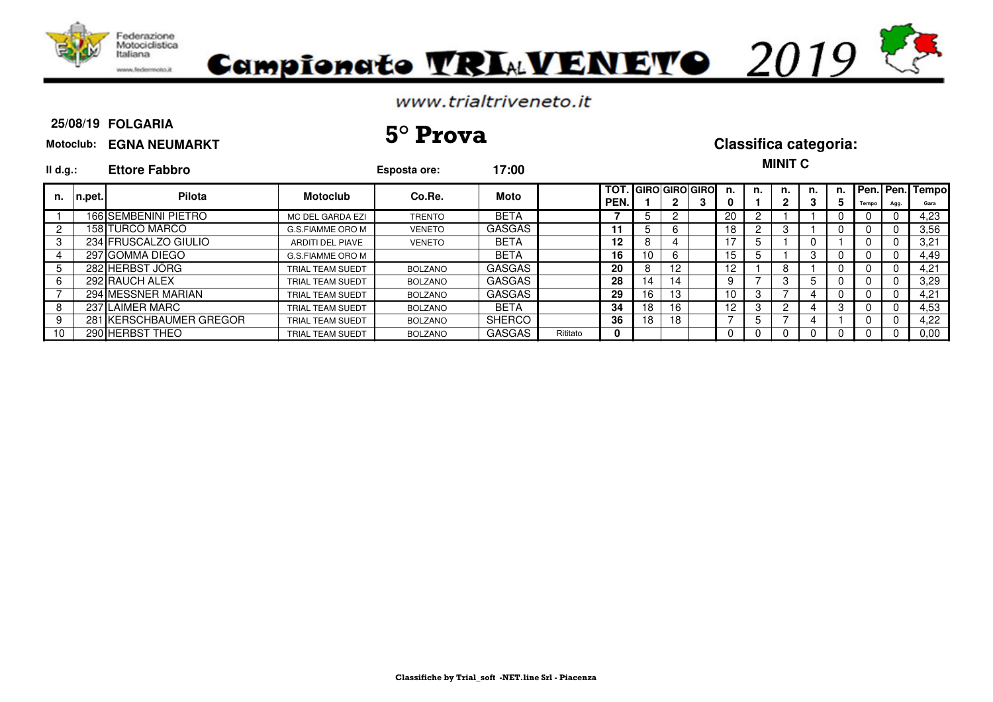



#### **25/08/19 FOLGARIA**

# **25/08/19 5° Prova Classifica categoria:**

**MINIT C** 

| Motoclub: EGNA NEUMARKT |  |
|-------------------------|--|
|-------------------------|--|

| II d.g.: |                  | <b>Ettore Fabbro</b>    |                         | Esposta ore:   | 17:00         |          |                                  |    |              |    |     |    | www.                 |         |    |       |          |                         |
|----------|------------------|-------------------------|-------------------------|----------------|---------------|----------|----------------------------------|----|--------------|----|-----|----|----------------------|---------|----|-------|----------|-------------------------|
| n.       | $\lfloor$ n.pet. | <b>Pilota</b>           | <b>Motoclub</b>         | Co.Re.         | Moto          |          | TOT.   GIRO  GIRO  GIRO <br>PEN. |    | $\mathbf{2}$ | -3 | n.  | n. | n.<br>2              | n.<br>3 | 5. | Tempo | Agg.     | Pen. Pen. Tempo<br>Gara |
|          |                  | 166 SEMBENINI PIETRO    | MC DEL GARDA EZI        | <b>TRENTO</b>  | <b>BETA</b>   |          |                                  |    |              |    | 20  |    |                      |         |    |       | 0        | 4,23                    |
|          |                  | 158 TURCO MARCO         | G.S.FIAMME ORO M        | <b>VENETO</b>  | <b>GASGAS</b> |          | 11                               |    | 6            |    | 18  |    | 3                    |         |    |       |          | 3,56                    |
|          |                  | 234 FRUSCALZO GIULIO    | ARDITI DEL PIAVE        | <b>VENETO</b>  | <b>BETA</b>   |          | $12 \,$                          | O. | 4            |    |     |    |                      |         |    |       |          | 3,21                    |
|          |                  | 297 GOMMA DIEGO         | G.S.FIAMME ORO M        |                | <b>BETA</b>   |          | 16                               | 10 | 6            |    | 15. |    |                      | 3       |    |       | 0        | 4,49                    |
|          |                  | 282 HERBST JÖRG         | TRIAL TEAM SUEDT        | <b>BOLZANO</b> | GASGAS        |          | 20                               | 8  | 12           |    | 12  |    | 8                    |         |    |       | 0        | 4.21                    |
|          |                  | 292 RAUCH ALEX          | TRIAL TEAM SUEDT        | <b>BOLZANO</b> | GASGAS        |          | 28                               | 14 | 14           |    |     |    | 3                    | 5       |    |       | 0        | 3.29                    |
|          |                  | 294 MESSNER MARIAN      | TRIAL TEAM SUEDT        | <b>BOLZANO</b> | GASGAS        |          | 29                               | 16 | 13           |    | 10  |    |                      |         |    |       |          | 4,21                    |
|          |                  | 237 LAIMER MARC         | TRIAL TEAM SUEDT        | BOLZANO        | <b>BETA</b>   |          | 34                               | 18 | 16           |    | 12  | 3  | $\mathbf{2}^{\circ}$ |         |    |       | $\Omega$ | 4,53                    |
|          |                  | 281 KERSCHBAUMER GREGOR | <b>TRIAL TEAM SUEDT</b> | <b>BOLZANO</b> | <b>SHERCO</b> |          | 36                               | 18 | 18           |    |     |    |                      |         |    |       | $\Omega$ | 4.22                    |
| 10       |                  | 290 HERBST THEO         | TRIAL TEAM SUEDT        | <b>BOLZANO</b> | <b>GASGAS</b> | Rititato | 0                                |    |              |    |     |    |                      |         |    |       |          | 0.00                    |
|          |                  |                         |                         |                |               |          |                                  |    |              |    |     |    |                      |         |    |       |          |                         |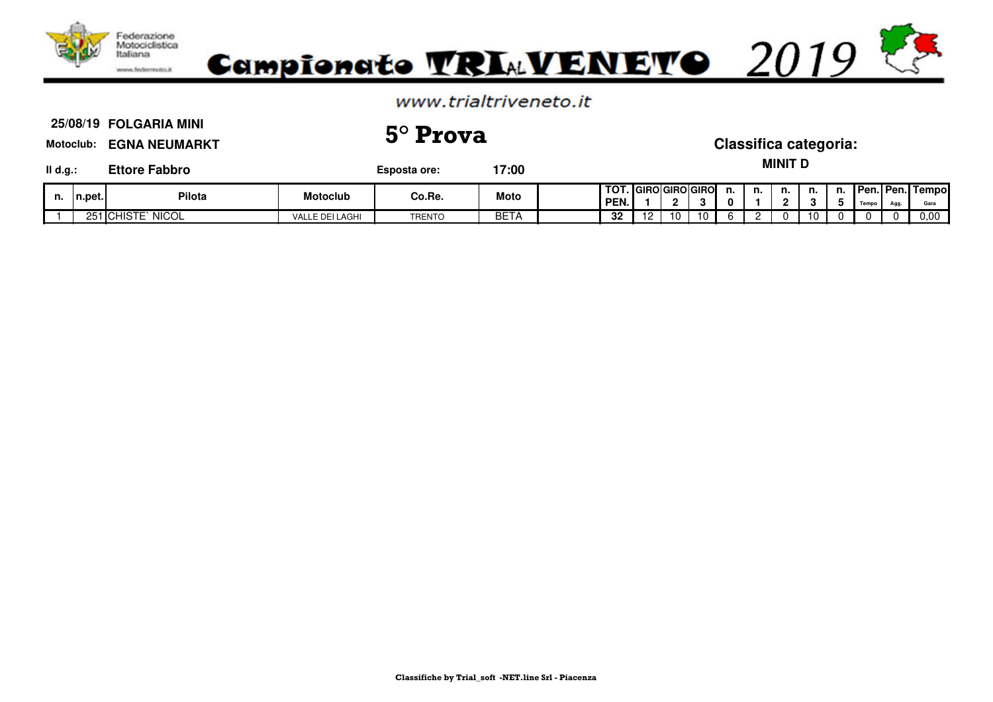

1 251 CHISTE` NICOL VALLE DEI LAGHI TRENTO BETA **32** 12 10 10 6 2 0 10 0 0 0 0,00

#### **Motoclub: EGNA NEUMARKT Il d.g.: Ettore Fabbro Esposta ore: 17:00 TOT. GIRO GIRO GIRO n. n. n. n. n. Pen. Pen. Tempo PEN.** | 1 | 2 | 3 | 0 | 1 | 2 | 3 | 5 | Tempo | Agg. | Gara **MINIT D n. n.pet. Pilota Motoclub Co.Re. Moto 25/08/19 5° Prova Classifica categoria:**

**FOLGARIA MINI**